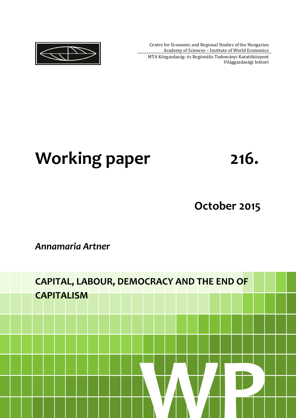Centre for Economic and Regional Studies of the Hungarian Academy of Sciences – Institute of World Economics

MTA Közgazdaság- és Regionális Tudományi Kutatóközpont Világgazdasági Intézet



# Working paper **216.**

# **October 2015**

# *Annamaria Artner*

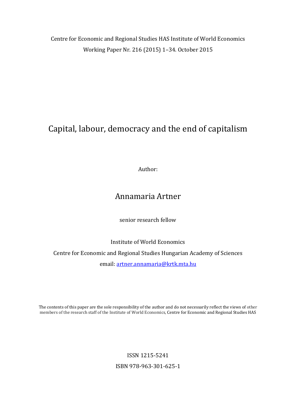Centre for Economic and Regional Studies HAS Institute of World Economics Working Paper Nr. 216 (2015) 1–34. October 2015

# Capital, labour, democracy and the end of capitalism

Author:

# Annamaria Artner

senior research fellow

Institute of World Economics Centre for Economic and Regional Studies Hungarian Academy of Sciences email: artner.annamaria@krtk.mta.hu

The contents of this paper are the sole responsibility of the author and do not necessarily reflect the views of other members of the research staff of the Institute of World Economics, Centre for Economic and Regional Studies HAS

> ISSN 1215-5241 ISBN 978-963-301-625-1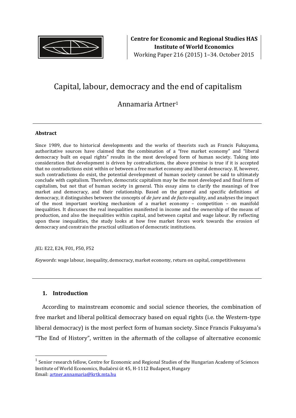

# Capital, labour, democracy and the end of capitalism

## Annamaria Artner<sup>1</sup>

#### **Abstract**

Since 1989, due to historical developments and the works of theorists such as Francis Fukuyama, authoritative sources have claimed that the combination of a "free market economy" and "liberal democracy built on equal rights" results in the most developed form of human society. Taking into consideration that development is driven by contradictions, the above premise is true if it is accepted that no contradictions exist within or between a free market economy and liberal democracy. If, however, such contradictions do exist, the potential development of human society cannot be said to ultimately conclude with capitalism. Therefore, democratic capitalism may be the most developed and final form of capitalism, but not that of human society in general. This essay aims to clarify the meanings of free market and democracy, and their relationship. Based on the general and specific definitions of democracy, it distinguishes between the concepts of *de jure* and *de facto* equality, and analyses the impact of the most important working mechanism of a market economy – competition – on manifold inequalities. It discusses the real inequalities manifested in income and the ownership of the means of production, and also the inequalities within capital, and between capital and wage labour. By reflecting upon these inequalities, the study looks at how free market forces work towards the erosion of democracy and constrain the practical utilization of democratic institutions.

#### *JEL*: E22, E24, F01, F50, F52

*Keywords*: wage labour, inequality, democracy, market economy, return on capital, competitiveness

#### **1. Introduction**

 $\overline{a}$ 

According to mainstream economic and social science theories, the combination of free market and liberal political democracy based on equal rights (i.e. the Western-type liberal democracy) is the most perfect form of human society. Since Francis Fukuyama's "The End of History", written in the aftermath of the collapse of alternative economic

<sup>1</sup> Senior research fellow, Centre for Economic and Regional Studies of the Hungarian Academy of Sciences Institute of World Economics, Budaörsi út 45, H-1112 Budapest, Hungary Email: artner.annamaria@krtk.mta.hu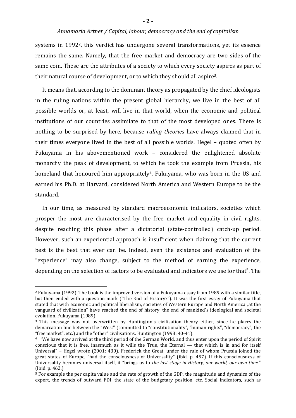systems in 19922, this verdict has undergone several transformations, yet its essence remains the same. Namely, that the free market and democracy are two sides of the same coin. These are the attributes of a society to which every society aspires as part of their natural course of development, or to which they should all aspire3.

It means that, according to the dominant theory as propagated by the chief ideologists in the ruling nations within the present global hierarchy, we live in the best of all possible worlds or, at least, will live in that world, when the economic and political institutions of our countries assimilate to that of the most developed ones. There is nothing to be surprised by here, because *ruling theories* have always claimed that in their times everyone lived in the best of all possible worlds. Hegel – quoted often by Fukuyama in his abovementioned work – considered the enlightened absolute monarchy the peak of development, to which he took the example from Prussia, his homeland that honoured him appropriately<sup>4</sup>. Fukuyama, who was born in the US and earned his Ph.D. at Harvard, considered North America and Western Europe to be the standard.

In our time, as measured by standard macroeconomic indicators, societies which prosper the most are characterised by the free market and equality in civil rights, despite reaching this phase after a dictatorial (state-controlled) catch-up period. However, such an experiential approach is insufficient when claiming that the current best is the best that ever can be. Indeed, even the existence and evaluation of the "experience" may also change, subject to the method of earning the experience, depending on the selection of factors to be evaluated and indicators we use for that<sup>5</sup>. The

<sup>2</sup> Fukuyama (1992). The book is the improved version of a Fukuyama essay from 1989 with a similar title, but then ended with a question mark ("The End of History?"). It was the first essay of Fukuyama that stated that with economic and political liberalism, societies of Western Europe and North America "at the vanguard of civilization" have reached the end of history, the end of mankind's ideological and societal evolution. Fukuyama (1989).

<sup>3</sup> This message was not overwritten by Huntington's civilisation theory either, since he places the demarcation line between the "West" (committed to "constitutionality", "human rights", "democracy", the "free market", etc.) and the "other" civilisations. Huntington (1993: 40-41).

<sup>4</sup> "We have now arrived at the third period of the German World, and thus enter upon the period of Spirit conscious that it is free, inasmuch as it wills the True, the Eternal — that which is in and for itself Universal" – Hegel wrote (2001: 430). Frederick the Great, under the rule of whom Prussia joined the great states of Europe, "had the consciousness of Universality" (ibid. p. 457). If this consciousness of Universality becomes universal itself, it "brings us to *the last stage in History, our world, our own time.*" (Ibid. p. 462.)

<sup>5</sup> For example the per capita value and the rate of growth of the GDP, the magnitude and dynamics of the export, the trends of outward FDI, the state of the budgetary position, etc. Social indicators, such as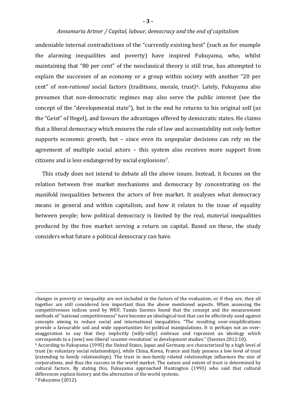undeniable internal contradictions of the "currently existing best" (such as for example the alarming inequalities and poverty) have inspired Fukuyama, who, whilst maintaining that "80 per cent" of the neoclassical theory is still true, has attempted to explain the successes of an economy or a group within society with another "20 per cent" of *non-rational* social factors (traditions, morale, trust)6. Lately, Fukuyama also presumes that non-democratic regimes may also serve the public interest (see the concept of the "developmental state"), but in the end he returns to his original self (as the "Geist" of Hegel), and favours the advantages offered by democratic states. He claims that a liberal democracy which ensures the rule of law and accountability not only better supports economic growth, but – since even its unpopular decisions can rely on the agreement of multiple social actors – this system also receives more support from citizens and is less endangered by social explosions 7.

This study does not intend to debate all the above issues. Instead, it focuses on the relation between free market mechanisms and democracy by concentrating on the manifold inequalities between the actors of free market. It analyses what democracy means in general and within capitalism, and how it relates to the issue of equality between people; how political democracy is limited by the real, material inequalities produced by the free market serving a return on capital. Based on these, the study considers what future a political democracy can have.

changes in poverty or inequality are not included in the factors of the evaluation, or if they are, they all together are still considered less important than the above mentioned aspects. When assessing the competitiveness indices used by WEF, Tamás Szentes found that the concept and the measurement methods of "national competitiveness" have become an ideological tool that can be effectively used against concepts aiming to reduce social and international inequalities. "The resulting over-simplifications provide a favourable soil and wide opportunities for political manipulations. It is perhaps not an overexaggeration to say that they implicitly (willy-nilly) embrace and represent an ideology which corresponds to a (new) neo-liberal 'counter-revolution' in development studies." (Szentes 2012:10).

<u>.</u>

<sup>6</sup> According to Fukuyama (1995) the United States, Japan and Germany are characterized by a high level of trust (in voluntary social relationships), while China, Korea, France and Italy possess a low level of trust (extending to family relationships). The trust in non-family related relationships influences the size of corporations, and thus the success in the world market. The nature and extent of trust is determined by cultural factors. By stating this, Fukuyama approached Huntington (1993) who said that cultural differences explain history and the alternation of the world systems. 7 Fukuyama (2012).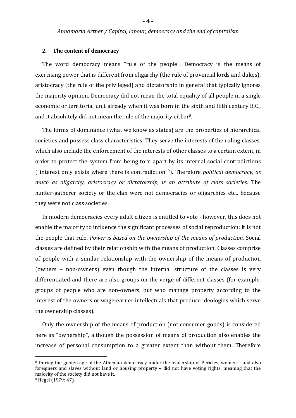#### **2. The content of democracy**

The word democracy means "rule of the people". Democracy is the means of exercising power that is different from oligarchy (the rule of provincial lords and dukes), aristocracy (the rule of the privileged) and dictatorship in general that typically ignores the majority opinion. Democracy did not mean the total equality of all people in a single economic or territorial unit already when it was born in the sixth and fifth century B.C., and it absolutely did not mean the rule of the majority either8.

The forms of dominance (what we know as states) are the properties of hierarchical societies and possess class characteristics. They serve the interests of the ruling classes, which also include the enforcement of the interests of other classes to a certain extent, in order to protect the system from being torn apart by its internal social contradictions ("interest only exists where there is contradiction" <sup>9</sup>). Therefore *political democracy, as much as oligarchy, aristocracy or dictatorship, is an attribute of class societies*. The hunter-gatherer society or the clan were not democracies or oligarchies etc., because they were not class societies.

In modern democracies every adult citizen is entitled to vote - however, this does not enable the majority to influence the significant processes of social reproduction: it is not the people that rule. *Power is based on the ownership of the means of production.* Social classes are defined by their relationship with the means of production. Classes comprise of people with a similar relationship with the ownership of the means of production (owners – non-owners) even though the internal structure of the classes is very differentiated and there are also groups on the verge of different classes (for example, groups of people who are non-owners, but who manage property according to the interest of the owners or wage-earner intellectuals that produce ideologies which serve the ownership classes).

Only the ownership of the means of production (not consumer goods) is considered here as "ownership", although the possession of means of production also enables the increase of personal consumption to a greater extent than without them. Therefore

<sup>8</sup> During the golden age of the Athenian democracy under the leadership of Pericles, women – and also foreigners and slaves without land or housing property – did not have voting rights, meaning that the majority of the society did not have it.

<sup>9</sup> Hegel (1979: 47).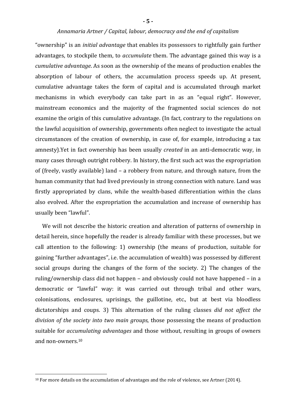"ownership" is an *initial advantage* that enables its possessors to rightfully gain further advantages, to stockpile them, to *accumulate* them. The advantage gained this way is a *cumulative advantage*. As soon as the ownership of the means of production enables the absorption of labour of others, the accumulation process speeds up. At present, cumulative advantage takes the form of capital and is accumulated through market mechanisms in which everybody can take part in as an "equal right". However, mainstream economics and the majority of the fragmented social sciences do not examine the origin of this cumulative advantage. (In fact, contrary to the regulations on the lawful acquisition of ownership, governments often neglect to investigate the actual circumstances of the creation of ownership, in case of, for example, introducing a tax amnesty).Yet in fact ownership has been usually *created* in an anti-democratic way, in many cases through outright robbery. In history, the first such act was the expropriation of (freely, vastly available) land – a robbery from nature, and through nature, from the human community that had lived previously in strong connection with nature. Land was firstly appropriated by clans, while the wealth-based differentiation within the clans also evolved. After the expropriation the accumulation and increase of ownership has usually been "lawful".

We will not describe the historic creation and alteration of patterns of ownership in detail herein, since hopefully the reader is already familiar with these processes, but we call attention to the following: 1) ownership (the means of production, suitable for gaining "further advantages", i.e. the accumulation of wealth) was possessed by different social groups during the changes of the form of the society. 2) The changes of the ruling/ownership class did not happen – and obviously could not have happened – in a democratic or "lawful" way: it was carried out through tribal and other wars, colonisations, enclosures, uprisings, the guillotine, etc., but at best via bloodless dictatorships and coups. 3) This alternation of the ruling classes *did not affect the division of the society into two main groups*, those possessing the means of production suitable for *accumulating advantages* and those without, resulting in groups of owners and non-owners.<sup>10</sup>

<sup>&</sup>lt;sup>10</sup> For more details on the accumulation of advantages and the role of violence, see Artner (2014).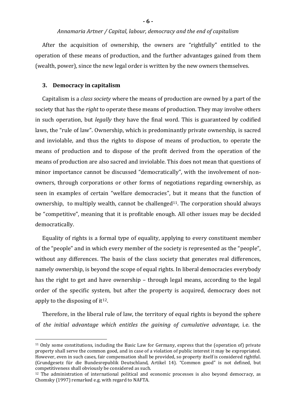After the acquisition of ownership, the owners are "rightfully" entitled to the operation of these means of production, and the further advantages gained from them (wealth, power), since the new legal order is written by the new owners themselves.

#### **3. Democracy in capitalism**

 $\overline{a}$ 

Capitalism is a *class society* where the means of production are owned by a part of the society that has the *right* to operate these means of production. They may involve others in such operation, but *legally* they have the final word. This is guaranteed by codified laws, the "rule of law". Ownership, which is predominantly private ownership, is sacred and inviolable, and thus the rights to dispose of means of production, to operate the means of production and to dispose of the profit derived from the operation of the means of production are also sacred and inviolable. This does not mean that questions of minor importance cannot be discussed "democratically", with the involvement of nonowners, through corporations or other forms of negotiations regarding ownership, as seen in examples of certain "welfare democracies", but it means that the function of ownership, to multiply wealth, cannot be challenged<sup>11</sup>. The corporation should always be "competitive", meaning that it is profitable enough. All other issues may be decided democratically.

Equality of rights is a formal type of equality, applying to every constituent member of the "people" and in which every member of the society is represented as the "people", without any differences. The basis of the class society that generates real differences, namely ownership, is beyond the scope of equal rights. In liberal democracies everybody has the right to get and have ownership – through legal means, according to the legal order of the specific system, but after the property is acquired, democracy does not apply to the disposing of it<sup>12</sup>.

Therefore, in the liberal rule of law, the territory of equal rights is beyond the sphere of *the initial advantage which entitles the gaining of cumulative advantage*, i.e. the

<sup>11</sup> Only some constitutions, including the Basic Law for Germany, express that the (operation of) private property shall serve the common good, and in case of a violation of public interest it may be expropriated. However, even in such cases, fair compensation shall be provided, so property itself is considered rightful. (Grundgesetz für die Bundesrepublik Deutschland, Artikel 14). "Common good" is not defined, but competitiveness shall obviously be considered as such.

<sup>&</sup>lt;sup>12</sup> The administration of international political and economic processes is also beyond democracy, as Chomsky (1997) remarked e.g. with regard to NAFTA.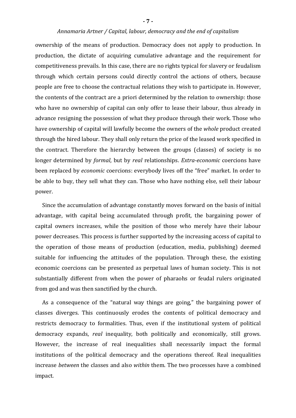ownership of the means of production. Democracy does not apply to production. In production, the dictate of acquiring cumulative advantage and the requirement for competitiveness prevails. In this case, there are no rights typical for slavery or feudalism through which certain persons could directly control the actions of others, because people are free to choose the contractual relations they wish to participate in. However, the contents of the contract are a priori determined by the relation to ownership: those who have no ownership of capital can only offer to lease their labour, thus already in advance resigning the possession of what they produce through their work. Those who have ownership of capital will lawfully become the owners of the *whole* product created through the hired labour. They shall only return the price of the leased work specified in the contract. Therefore the hierarchy between the groups (classes) of society is no longer determined by *formal*, but by *real* relationships. *Extra-economic* coercions have been replaced by *economic* coercions: everybody lives off the "free" market. In order to be able to buy, they sell what they can. Those who have nothing else, sell their labour power.

Since the accumulation of advantage constantly moves forward on the basis of initial advantage, with capital being accumulated through profit, the bargaining power of capital owners increases, while the position of those who merely have their labour power decreases. This process is further supported by the increasing access of capital to the operation of those means of production (education, media, publishing) deemed suitable for influencing the attitudes of the population. Through these, the existing economic coercions can be presented as perpetual laws of human society. This is not substantially different from when the power of pharaohs or feudal rulers originated from god and was then sanctified by the church.

As a consequence of the "natural way things are going," the bargaining power of classes diverges. This continuously erodes the contents of political democracy and restricts democracy to formalities. Thus, even if the institutional system of political democracy expands, *real* inequality, both politically and economically, still grows. However, the increase of real inequalities shall necessarily impact the formal institutions of the political democracy and the operations thereof. Real inequalities increase *between* the classes and also *within* them. The two processes have a combined impact.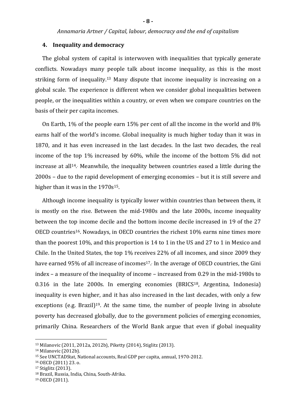#### **4. Inequality and democracy**

The global system of capital is interwoven with inequalities that typically generate conflicts. Nowadays many people talk about income inequality, as this is the most striking form of inequality.<sup>13</sup> Many dispute that income inequality is increasing on a global scale. The experience is different when we consider global inequalities between people, or the inequalities within a country, or even when we compare countries on the basis of their per capita incomes.

On Earth, 1% of the people earn 15% per cent of all the income in the world and 8% earns half of the world's income. Global inequality is much higher today than it was in 1870, and it has even increased in the last decades. In the last two decades, the real income of the top 1% increased by 60%, while the income of the bottom 5% did not increase at all<sup>14</sup>. Meanwhile, the inequality between countries eased a little during the 2000s – due to the rapid development of emerging economies – but it is still severe and higher than it was in the 1970s<sup>15</sup>.

Although income inequality is typically lower within countries than between them, it is mostly on the rise. Between the mid-1980s and the late 2000s, income inequality between the top income decile and the bottom income decile increased in 19 of the 27 OECD countries16. Nowadays, in OECD countries the richest 10% earns nine times more than the poorest 10%, and this proportion is 14 to 1 in the US and 27 to 1 in Mexico and Chile. In the United States, the top 1% receives 22% of all incomes, and since 2009 they have earned 95% of all increase of incomes<sup>17</sup>. In the average of OECD countries, the Gini index – a measure of the inequality of income – increased from 0.29 in the mid-1980s to 0.316 in the late 2000s. In emerging economies (BRICS<sup>18</sup>, Argentina, Indonesia) inequality is even higher, and it has also increased in the last decades, with only a few exceptions (e.g. Brazil)<sup>19</sup>. At the same time, the number of people living in absolute poverty has decreased globally, due to the government policies of emerging economies, primarily China. Researchers of the World Bank argue that even if global inequality

<sup>13</sup> Milanovic (2011, 2012a, 2012b), Piketty (2014), Stiglitz (2013).

<sup>14</sup> Milanovic (2012b).

<sup>15</sup> See UNCTADStat, National accounts, Real GDP per capita, annual, 1970-2012.

<sup>16</sup> OECD (2011) 23. o.

<sup>17</sup> Stiglitz (2013).

<sup>18</sup> Brazil, Russia, India, China, South-Afrika.

<sup>19</sup> OECD (2011).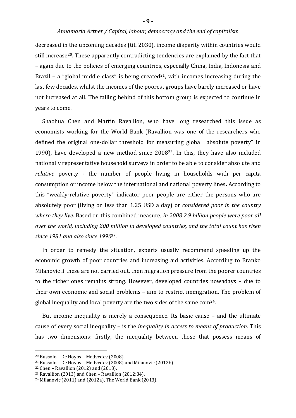#### **- 9 -**

#### *Annamaria Artner / Capital, labour, democracy and the end of capitalism*

decreased in the upcoming decades (till 2030), income disparity within countries would still increase<sup>20</sup>. These apparently contradicting tendencies are explained by the fact that – again due to the policies of emerging countries, especially China, India, Indonesia and Brazil – a "global middle class" is being created<sup>21</sup>, with incomes increasing during the last few decades, whilst the incomes of the poorest groups have barely increased or have not increased at all. The falling behind of this bottom group is expected to continue in years to come.

Shaohua Chen and Martin Ravallion, who have long researched this issue as economists working for the World Bank (Ravallion was one of the researchers who defined the original one-dollar threshold for measuring global "absolute poverty" in 1990), have developed a new method since 200822. In this, they have also included nationally representative household surveys in order to be able to consider absolute and *relative* poverty - the number of people living in households with per capita consumption or income below the international and national poverty lines**.** According to this "weakly-relative poverty" indicator poor people are either the persons who are absolutely poor (living on less than 1.25 USD a day) or *considered poor in the country where they live*. Based on this combined measure, *in 2008 2.9 billion people were poor all over the world, including 200 million in developed countries, and the total count has risen since 1981 and also since 1990*23*.*

In order to remedy the situation, experts usually recommend speeding up the economic growth of poor countries and increasing aid activities. According to Branko Milanovic if these are not carried out, then migration pressure from the poorer countries to the richer ones remains strong. However, developed countries nowadays – due to their own economic and social problems – aim to restrict immigration. The problem of global inequality and local poverty are the two sides of the same coin<sup>24</sup>.

But income inequality is merely a consequence. Its basic cause – and the ultimate cause of every social inequality – is the *inequality in access to means of production*. This has two dimensions: firstly, the inequality between those that possess means of

<sup>20</sup> Bussolo – De Hoyos – Medvedev (2008).

<sup>21</sup> Bussolo – De Hoyos – Medvedev (2008) and Milanovic (2012b).

 $22$  Chen – Ravallion (2012) and (2013).

<sup>23</sup> Ravallion (2013) and Chen – Ravallion (2012:34).

<sup>24</sup> Milanovic (2011) and (2012a), The World Bank (2013).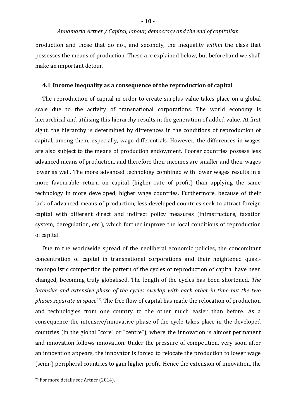production and those that do not, and secondly, the inequality *within* the class that possesses the means of production. These are explained below, but beforehand we shall make an important detour.

#### **4.1 Income inequality as a consequence of the reproduction of capital**

The reproduction of capital in order to create surplus value takes place on a global scale due to the activity of transnational corporations. The world economy is hierarchical and utilising this hierarchy results in the generation of added value. At first sight, the hierarchy is determined by differences in the conditions of reproduction of capital, among them, especially, wage differentials. However, the differences in wages are also subject to the means of production endowment. Poorer countries possess less advanced means of production, and therefore their incomes are smaller and their wages lower as well. The more advanced technology combined with lower wages results in a more favourable return on capital (higher rate of profit) than applying the same technology in more developed, higher wage countries. Furthermore, because of their lack of advanced means of production, less developed countries seek to attract foreign capital with different direct and indirect policy measures (infrastructure, taxation system, deregulation, etc.), which further improve the local conditions of reproduction of capital.

Due to the worldwide spread of the neoliberal economic policies, the concomitant concentration of capital in transnational corporations and their heightened quasimonopolistic competition the pattern of the cycles of reproduction of capital have been changed, becoming truly globalised. The length of the cycles has been shortened. *The intensive and extensive phase of the cycles overlap with each other in time but the two phases separate in space25*. The free flow of capital has made the relocation of production and technologies from one country to the other much easier than before. As a consequence the intensive/innovative phase of the cycle takes place in the developed countries (in the global "core" or "centre"), where the innovation is almost permanent and innovation follows innovation. Under the pressure of competition, very soon after an innovation appears, the innovator is forced to relocate the production to lower wage (semi-) peripheral countries to gain higher profit. Hence the extension of innovation, the

<sup>25</sup> For more details see Artner (2014).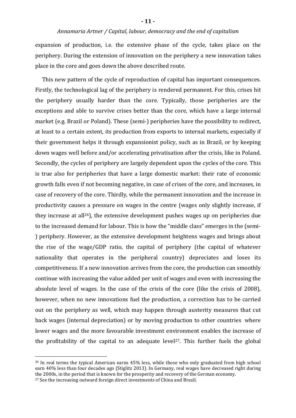expansion of production, i.e. the extensive phase of the cycle, takes place on the periphery. During the extension of innovation on the periphery a new innovation takes place in the core and goes down the above described route.

This new pattern of the cycle of reproduction of capital has important consequences. Firstly, the technological lag of the periphery is rendered permanent. For this, crises hit the periphery usually harder than the core. Typically, those peripheries are the exceptions and able to survive crises better than the core, which have a large internal market (e.g. Brazil or Poland). These (semi-) peripheries have the possibility to redirect, at least to a certain extent, its production from exports to internal markets, especially if their government helps it through expansionist policy, such as in Brazil, or by keeping down wages well before and/or accelerating privatisation after the crisis, like in Poland. Secondly, the cycles of periphery are largely dependent upon the cycles of the core. This is true also for peripheries that have a large domestic market: their rate of economic growth falls even if not becoming negative, in case of crises of the core, and increases, in case of recovery of the core. Thirdly, while the permanent innovation and the increase in productivity causes a pressure on wages in the centre (wages only slightly increase, if they increase at all26), the extensive development pushes wages up on peripheries due to the increased demand for labour. This is how the "middle class" emerges in the (semi- ) periphery. However, as the extensive development heightens wages and brings about the rise of the wage/GDP ratio, the capital of periphery (the capital of whatever nationality that operates in the peripheral country) depreciates and loses its competitiveness. If a new innovation arrives from the core, the production can smoothly continue with increasing the value added per unit of wages and even with increasing the absolute level of wages. In the case of the crisis of the core (like the crisis of 2008), however, when no new innovations fuel the production, a correction has to be carried out on the periphery as well, which may happen through austerity measures that cut back wages (internal depreciation) or by moving production to other countries where lower wages and the more favourable investment environment enables the increase of the profitability of the capital to an adequate level<sup>27</sup>. This further fuels the global

<sup>&</sup>lt;sup>26</sup> In real terms the typical American earns 45% less, while those who only graduated from high school earn 40% less than four decades ago (Stiglitz 2013). In Germany, real wages have decreased right during the 2000s, in the period that is known for the prosperity and recovery of the German economy.

<sup>&</sup>lt;sup>27</sup> See the increasing outward foreign direct investments of China and Brazil.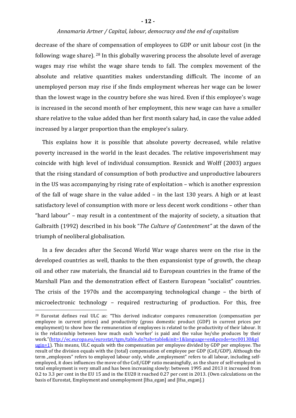decrease of the share of compensation of employees to GDP or unit labour cost (in the following: wage share). <sup>28</sup> In this globally wavering process the absolute level of average wages may rise whilst the wage share tends to fall. The complex movement of the absolute and relative quantities makes understanding difficult. The income of an unemployed person may rise if she finds employment whereas her wage can be lower than the lowest wage in the country before she was hired. Even if this employee's wage is increased in the second month of her employment, this new wage can have a smaller share relative to the value added than her first month salary had, in case the value added increased by a larger proportion than the employee's salary.

This explains how it is possible that absolute poverty decreased, while relative poverty increased in the world in the least decades. The relative impoverishment may coincide with high level of individual consumption. Resnick and Wolff (2003) argues that the rising standard of consumption of both productive and unproductive labourers in the US was accompanying by rising rate of exploitation – which is another expression of the fall of wage share in the value added – in the last 130 years. A high or at least satisfactory level of consumption with more or less decent work conditions – other than "hard labour" – may result in a contentment of the majority of society, a situation that Galbraith (1992) described in his book "*The Culture of Contentment"* at the dawn of the triumph of neoliberal globalisation*.*

In a few decades after the Second World War wage shares were on the rise in the developed countries as well, thanks to the then expansionist type of growth, the cheap oil and other raw materials, the financial aid to European countries in the frame of the Marshall Plan and the demonstration effect of Eastern European "socialist" countries. The crisis of the 1970s and the accompanying technological change – the birth of microelectronic technology – required restructuring of production. For this, free

<sup>&</sup>lt;sup>28</sup> Eurostat defines real ULC as: "This derived indicator compares remuneration (compensation per employee in current prices) and productivity (gross domestic product (GDP) in current prices per employment) to show how the remuneration of employees is related to the productivity of their labour. It is the relationship between how much each 'worker' is paid and the value he/she produces by their work."(http://ec.europa.eu/eurostat/tgm/table.do?tab=table&init=1&language=en&pcode=tec00130&pl ugin=1). This means, ULC equals with the compensation per employee divided by GDP per employee. The result of the division equals with the (total) compensation of employee per GDP (CoE/GDP). Although the term "employees" refers to employed labour only, while "employment" refers to all labour, including selfemployed, it does influences the move of the CoE/GDP ratio meaningfully, as the share of self-employed in total employment is very small and has been increasing slowly: between 1995 and 2013 it increased from 0.2 to 3.3 per cent in the EU 15 and in the EU28 it reached 0.27 per cent in 2013. (Own calculations on the basis of Eurostat, Employment and unemployment [lfsa\_egan] and [lfsa\_esgan].)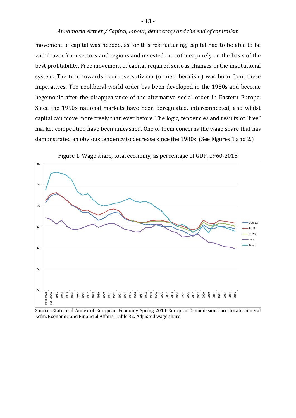movement of capital was needed, as for this restructuring, capital had to be able to be withdrawn from sectors and regions and invested into others purely on the basis of the best profitability. Free movement of capital required serious changes in the institutional system. The turn towards neoconservativism (or neoliberalism) was born from these imperatives. The neoliberal world order has been developed in the 1980s and become hegemonic after the disappearance of the alternative social order in Eastern Europe. Since the 1990s national markets have been deregulated, interconnected, and whilst capital can move more freely than ever before. The logic, tendencies and results of "free" market competition have been unleashed. One of them concerns the wage share that has demonstrated an obvious tendency to decrease since the 1980s. (See Figures 1 and 2.)



Figure 1. Wage share, total economy, as percentage of GDP, 1960-2015

Source: Statistical Annex of European Economy Spring 2014 European Commission Directorate General Ecfin, Economic and Financial Affairs. Table 32. Adjusted wage share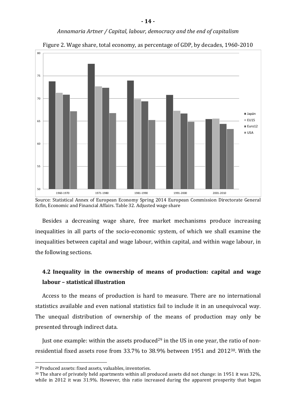

Figure 2. Wage share, total economy, as percentage of GDP, by decades, 1960-2010

Source: Statistical Annex of European Economy Spring 2014 European Commission Directorate General Ecfin, Economic and Financial Affairs. Table 32. Adjusted wage share

Besides a decreasing wage share, free market mechanisms produce increasing inequalities in all parts of the socio-economic system, of which we shall examine the inequalities between capital and wage labour, within capital, and within wage labour, in the following sections.

## **4.2 Inequality in the ownership of means of production: capital and wage labour – statistical illustration**

Access to the means of production is hard to measure. There are no international statistics available and even national statistics fail to include it in an unequivocal way. The unequal distribution of ownership of the means of production may only be presented through indirect data.

Just one example: within the assets produced<sup>29</sup> in the US in one year, the ratio of nonresidential fixed assets rose from 33.7% to 38.9% between 1951 and 201230. With the

<sup>29</sup> Produced assets: fixed assets, valuables, inventories.

<sup>30</sup> The share of privately held apartments within all produced assets did not change: in 1951 it was 32%, while in 2012 it was 31.9%. However, this ratio increased during the apparent prosperity that began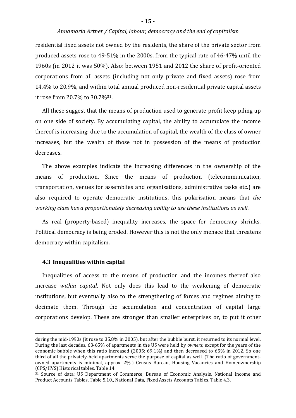#### **- 15 -**

#### *Annamaria Artner / Capital, labour, democracy and the end of capitalism*

residential fixed assets not owned by the residents, the share of the private sector from produced assets rose to 49-51% in the 2000s, from the typical rate of 46-47% until the 1960s (in 2012 it was 50%). Also: between 1951 and 2012 the share of profit-oriented corporations from all assets (including not only private and fixed assets) rose from 14.4% to 20.9%, and within total annual produced non-residential private capital assets it rose from 20.7% to 30.7%31.

All these suggest that the means of production used to generate profit keep piling up on one side of society. By accumulating capital, the ability to accumulate the income thereof is increasing: due to the accumulation of capital, the wealth of the class of owner increases, but the wealth of those not in possession of the means of production decreases.

The above examples indicate the increasing differences in the ownership of the means of production. Since the means of production (telecommunication, transportation, venues for assemblies and organisations, administrative tasks etc.) are also required to operate democratic institutions, this polarisation means that *the working class has a proportionately decreasing ability to use these institutions as well*.

As real (property-based) inequality increases, the space for democracy shrinks. Political democracy is being eroded. However this is not the only menace that threatens democracy within capitalism.

#### **4.3 Inequalities within capital**

<u>.</u>

Inequalities of access to the means of production and the incomes thereof also increase *within capital*. Not only does this lead to the weakening of democratic institutions, but eventually also to the strengthening of forces and regimes aiming to decimate them. Through the accumulation and concentration of capital large corporations develop. These are stronger than smaller enterprises or, to put it other

during the mid-1990s (it rose to 35.8% in 2005), but after the bubble burst, it returned to its normal level. During the last decades, 63-65% of apartments in the US were held by *owners*, except for the years of the economic bubble when this ratio increased (2005: 69.1%) and then decreased to 65% in 2012. So one third of all the privately-held apartments serve the purpose of capital as well. (The ratio of governmentowned apartments is minimal, approx. 2%.) Census Bureau, Housing Vacancies and Homeownership (CPS/HVS) Historical tables, Table 14.

<sup>31</sup> Source of data: US Department of Commerce, Bureau of Economic Analysis, National Income and Product Accounts Tables, Table 5.10., National Data, Fixed Assets Accounts Tables, Table 4.3.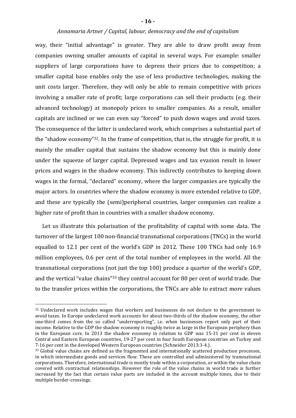way, their "initial advantage" is greater. They are able to draw profit away from companies owning smaller amounts of capital in several ways. For example: smaller suppliers of large corporations have to depress their prices due to competition; a smaller capital base enables only the use of less productive technologies, making the unit costs larger. Therefore, they will only be able to remain competitive with prices involving a smaller rate of profit; large corporations can sell their products (e.g. their advanced technology) at monopoly prices to smaller companies. As a result, smaller capitals are inclined or we can even say "forced" to push down wages and avoid taxes. The consequence of the latter is undeclared work, which comprises a substantial part of the "shadow economy"32. In the frame of competition, that is, the struggle for profit, it is mainly the smaller capital that sustains the shadow economy but this is mainly done under the squeeze of larger capital. Depressed wages and tax evasion result in lower prices and wages in the shadow economy. This indirectly contributes to keeping down wages in the formal, "declared" economy, where the larger companies are typically the major actors. In countries where the shadow economy is more extended relative to GDP, and these are typically the (semi)peripheral countries, larger companies can realize a higher rate of profit than in countries with a smaller shadow economy.

Let us illustrate this polarisation of the profitability of capital with some data. The turnover of the largest 100 non-financial transnational corporations (TNCs) in the world equalled to 12.1 per cent of the world's GDP in 2012. These 100 TNCs had only 16.9 million employees, 0.6 per cent of the total number of employees in the world. All the transnational corporations (not just the top 100) produce a quarter of the world's GDP, and the vertical "value chains"33 they control account for 80 per cent of world trade. Due to the transfer prices within the corporations, the TNCs are able to extract more values

<sup>&</sup>lt;sup>32</sup> Undeclared work includes wages that workers and businesses do not declare to the government to avoid taxes. In Europe undeclared work accounts for about two-thirds of the shadow economy, the other one-third comes from the so called "underreporting", i.e. when businesses report only part of their income. Relative to the GDP the shadow economy is roughly twice as large in the European periphery than in the European core. In 2013 the shadow economy in relation to GDP was 15-31 per cent in eleven Central and Eastern European countries, 19-27 per cent in four South European countries an Turkey and 7-16 per cent in the developed Western European countries (Schneider 2013:3-4.).

<sup>33</sup> Global value chains are defined as the fragmented and internationally scattered production processes, in which intermediate goods and services flow. These are controlled and administered by transnational corporations. Therefore, international trade is mostly trade within a corporation, or within the value chain covered with contractual relationships. However the role of the value chains in world trade is further increased by the fact that certain value parts are included in the account multiple times, due to their multiple border-crossings.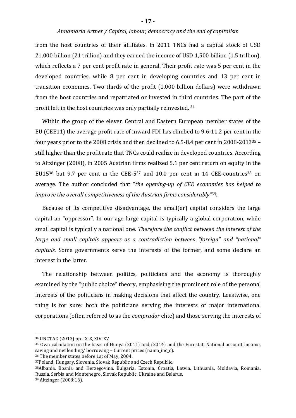from the host countries of their affiliates. In 2011 TNCs had a capital stock of USD 21,000 billion (21 trillion) and they earned the income of USD 1,500 billion (1.5 trillion), which reflects a 7 per cent profit rate in general. Their profit rate was 5 per cent in the developed countries, while 8 per cent in developing countries and 13 per cent in transition economies. Two thirds of the profit (1.000 billion dollars) were withdrawn from the host countries and repatriated or invested in third countries. The part of the profit left in the host countries was only partially reinvested. <sup>34</sup>

Within the group of the eleven Central and Eastern European member states of the EU (CEE11) the average profit rate of inward FDI has climbed to 9.6-11.2 per cent in the four years prior to the 2008 crisis and then declined to 6.5-8.4 per cent in 2008-201335 – still higher than the profit rate that TNCs could realize in developed countries. According to Altzinger (2008), in 2005 Austrian firms realized 5.1 per cent return on equity in the EU15<sup>36</sup> but 9.7 per cent in the CEE-5<sup>37</sup> and 10.0 per cent in 14 CEE-countries<sup>38</sup> on average. The author concluded that "*the opening-up of CEE economies has helped to improve the overall competitiveness of the Austrian firms considerably"*39**.**

Because of its competitive disadvantage, the small(er) capital considers the large capital an "oppressor". In our age large capital is typically a global corporation, while small capital is typically a national one. *Therefore the conflict between the interest of the large and small capitals appears as a contradiction between "foreign" and "national" capitals.* Some governments serve the interests of the former, and some declare an interest in the latter.

The relationship between politics, politicians and the economy is thoroughly examined by the "public choice" theory, emphasising the prominent role of the personal interests of the politicians in making decisions that affect the country. Leastwise, one thing is for sure: both the politicians serving the interests of major international corporations (often referred to as the *comprador* elite) and those serving the interests of

<sup>38</sup>Albania, Bosnia and Herzegovina, Bulgaria, Estonia, Croatia, Latvia, Lithuania, Moldavia, Romania, Russia, Serbia and Montenegro, Slovak Republic, Ukraine and Belarus.

<sup>34</sup> UNCTAD (2013) pp. IX-X, XIV-XV

<sup>35</sup> Own calculation on the basis of Hunya (2011) and (2014) and the Eurostat, National account Income, saving and net lending/ borrowing – Current prices (nama\_inc\_c).

<sup>36</sup> The member states before 1st of May, 2004.

<sup>37</sup>Poland, Hungary, Slovenia, Slovak Republic and Czech Republic.

<sup>39</sup> Altzinger (2008:16).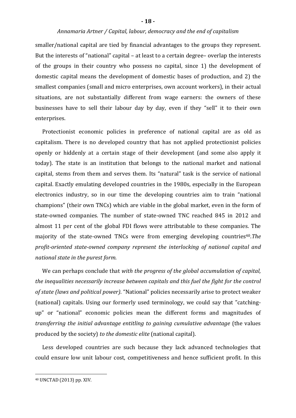smaller/national capital are tied by financial advantages to the groups they represent. But the interests of "national" capital – at least to a certain degree– overlap the interests of the groups in their country who possess no capital, since 1) the development of domestic capital means the development of domestic bases of production, and 2) the smallest companies (small and micro enterprises, own account workers), in their actual situations, are not substantially different from wage earners: the owners of these businesses have to sell their labour day by day, even if they "sell" it to their own enterprises.

Protectionist economic policies in preference of national capital are as old as capitalism. There is no developed country that has not applied protectionist policies openly or hiddenly at a certain stage of their development (and some also apply it today). The state is an institution that belongs to the national market and national capital, stems from them and serves them. Its "natural" task is the service of national capital. Exactly emulating developed countries in the 1980s, especially in the European electronics industry, so in our time the developing countries aim to train "national champions" (their own TNCs) which are viable in the global market, even in the form of state-owned companies. The number of state-owned TNC reached 845 in 2012 and almost 11 per cent of the global FDI flows were attributable to these companies. The majority of the state-owned TNCs were from emerging developing countries<sup>40</sup>.The *profit-oriented state-owned company represent the interlocking of national capital and national state in the purest form.*

We can perhaps conclude that *with the progress of the global accumulation of capital, the inequalities necessarily increase between capitals and this fuel the fight for the control of state (laws and political power)*. "National" policies necessarily arise to protect weaker (national) capitals. Using our formerly used terminology, we could say that "catchingup" or "national" economic policies mean the different forms and magnitudes of *transferring the initial advantage entitling to gaining cumulative advantage* (the values produced by the society) *to the domestic elite* (national capital).

Less developed countries are such because they lack advanced technologies that could ensure low unit labour cost, competitiveness and hence sufficient profit. In this

<sup>40</sup> UNCTAD (2013) pp. XIV.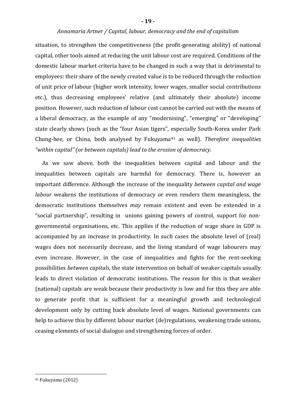situation, to strengthen the competitiveness (the profit-generating ability) of national capital, other tools aimed at reducing the unit labour cost are required. Conditions of the domestic labour market criteria have to be changed in such a way that is detrimental to employees: their share of the newly created value is to be reduced through the reduction of unit price of labour (higher work intensity, lower wages, smaller social contributions etc.), thus decreasing employees' relative (and ultimately their absolute) income position. However, such reduction of labour cost cannot be carried out with the means of a liberal democracy, as the example of any "modernising", "emerging" or "developing" state clearly shows (such as the "four Asian tigers", especially South-Korea under Park Chung-hee, or China, both analysed by Fukuyama41 as well). *Therefore inequalities "within capital" (or between capitals) lead to the erosion of democracy.*

As we saw above, both the inequalities between capital and labour and the inequalities between capitals are harmful for democracy. There is, however an important difference. Although the increase of the inequality *between capital and wage labour* weakens the institutions of democracy or even renders them meaningless, the democratic institutions themselves *may* remain existent and even be extended in a "social partnership", resulting in unions gaining powers of control, support for nongovernmental organisations, etc. This applies if the reduction of wage share in GDP is accompanied by an increase in productivity. In such cases the absolute level of (real) wages does not necessarily decrease, and the living standard of wage labourers may even increase. However, in the case of inequalities and fights for the rent-seeking possibilities *between capitals*, the state intervention on behalf of weaker capitals usually leads to direct violation of democratic institutions. The reason for this is that weaker (national) capitals are weak because their productivity is low and for this they are able to generate profit that is sufficient for a meaningful growth and technological development only by cutting back absolute level of wages. National governments can help to achieve this by different labour market (de)regulations, weakening trade unions, ceasing elements of social dialogue and strengthening forces of order.

<sup>41</sup> Fukuyama (2012)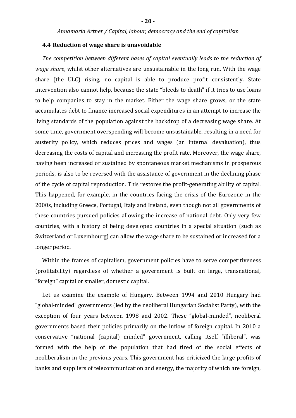#### **4.4 Reduction of wage share is unavoidable**

*The competition between different bases of capital eventually leads to the reduction of wage share*, whilst other alternatives are unsustainable in the long run. With the wage share (the ULC) rising, no capital is able to produce profit consistently. State intervention also cannot help, because the state "bleeds to death" if it tries to use loans to help companies to stay in the market. Either the wage share grows, or the state accumulates debt to finance increased social expenditures in an attempt to increase the living standards of the population against the backdrop of a decreasing wage share. At some time, government overspending will become unsustainable, resulting in a need for austerity policy, which reduces prices and wages (an internal devaluation), thus decreasing the costs of capital and increasing the profit rate. Moreover, the wage share, having been increased or sustained by spontaneous market mechanisms in prosperous periods, is also to be reversed with the assistance of government in the declining phase of the cycle of capital reproduction. This restores the profit-generating ability of capital. This happened, for example, in the countries facing the crisis of the Eurozone in the 2000s, including Greece, Portugal, Italy and Ireland, even though not all governments of these countries pursued policies allowing the increase of national debt. Only very few countries, with a history of being developed countries in a special situation (such as Switzerland or Luxembourg) can allow the wage share to be sustained or increased for a longer period.

Within the frames of capitalism, government policies have to serve competitiveness (profitability) regardless of whether a government is built on large, transnational, "foreign" capital or smaller, domestic capital.

Let us examine the example of Hungary. Between 1994 and 2010 Hungary had "global-minded" governments (led by the neoliberal Hungarian Socialist Party), with the exception of four years between 1998 and 2002. These "global-minded", neoliberal governments based their policies primarily on the inflow of foreign capital. In 2010 a conservative "national (capital) minded" government, calling itself "illiberal", was formed with the help of the population that had tired of the social effects of neoliberalism in the previous years. This government has criticized the large profits of banks and suppliers of telecommunication and energy, the majority of which are foreign,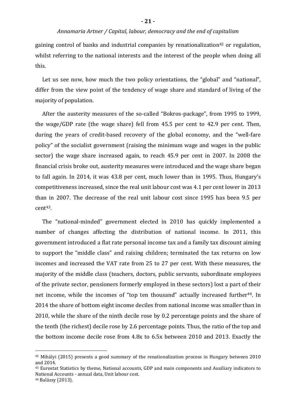gaining control of banks and industrial companies by renationalization<sup>42</sup> or regulation, whilst referring to the national interests and the interest of the people when doing all this.

Let us see now, how much the two policy orientations, the "global" and "national", differ from the view point of the tendency of wage share and standard of living of the majority of population.

After the austerity measures of the so-called "Bokros-package", from 1995 to 1999, the wage/GDP rate (the wage share) fell from 45.5 per cent to 42.9 per cent. Then, during the years of credit-based recovery of the global economy, and the "well-fare policy" of the socialist government (raising the minimum wage and wages in the public sector) the wage share increased again, to reach 45.9 per cent in 2007. In 2008 the financial crisis broke out, austerity measures were introduced and the wage share began to fall again. In 2014, it was 43.8 per cent, much lower than in 1995. Thus, Hungary's competitiveness increased, since the real unit labour cost was 4.1 per cent lower in 2013 than in 2007. The decrease of the real unit labour cost since 1995 has been 9.5 per cent43.

The "national-minded" government elected in 2010 has quickly implemented a number of changes affecting the distribution of national income. In 2011, this government introduced a flat rate personal income tax and a family tax discount aiming to support the "middle class" and raising children; terminated the tax returns on low incomes and increased the VAT rate from 25 to 27 per cent. With these measures, the majority of the middle class (teachers, doctors, public servants, subordinate employees of the private sector, pensioners formerly employed in these sectors) lost a part of their net income, while the incomes of "top ten thousand" actually increased further<sup>44</sup>. In 2014 the share of bottom eight income deciles from national income was smaller than in 2010, while the share of the ninth decile rose by 0.2 percentage points and the share of the tenth (the richest) decile rose by 2.6 percentage points. Thus, the ratio of the top and the bottom income decile rose from 4.8x to 6.5x between 2010 and 2013. Exactly the

<sup>42</sup> Mihályi (2015) presents a good summary of the renationalization process in Hungary between 2010 and 2014.

<sup>43</sup> Eurostat Statistics by theme, National accounts, GDP and main components and Auxiliary indicators to National Accounts - annual data, Unit labour cost.

<sup>44</sup> Balázsy (2013).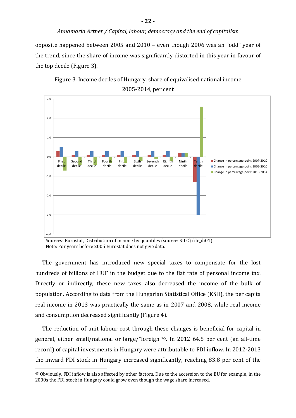opposite happened between 2005 and 2010 – even though 2006 was an "odd" year of the trend, since the share of income was significantly distorted in this year in favour of the top decile (Figure 3).



Figure 3. Income deciles of Hungary, share of equivalised national income 2005-2014, per cent

The government has introduced new special taxes to compensate for the lost hundreds of billions of HUF in the budget due to the flat rate of personal income tax. Directly or indirectly, these new taxes also decreased the income of the bulk of population. According to data from the Hungarian Statistical Office (KSH), the per capita real income in 2013 was practically the same as in 2007 and 2008, while real income and consumption decreased significantly (Figure 4).

The reduction of unit labour cost through these changes is beneficial for capital in general, either small/national or large/"foreign"45. In 2012 64.5 per cent (an all-time record) of capital investments in Hungary were attributable to FDI inflow. In 2012-2013 the inward FDI stock in Hungary increased significantly, reaching 83.8 per cent of the

Sources: Eurostat, Distribution of income by quantiles (source: SILC) (ilc\_di01) Note: For years before 2005 Eurostat does not give data.

<sup>45</sup> Obviously, FDI inflow is also affected by other factors. Due to the accession to the EU for example, in the 2000s the FDI stock in Hungary could grow even though the wage share increased.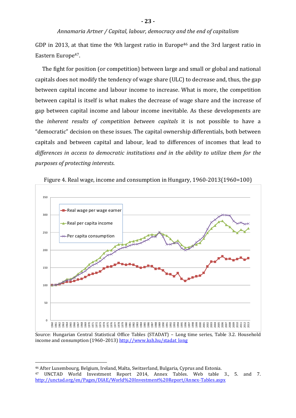GDP in 2013, at that time the 9th largest ratio in Europe<sup>46</sup> and the 3rd largest ratio in Eastern Europe<sup>47</sup>.

The fight for position (or competition) between large and small or global and national capitals does not modify the tendency of wage share (ULC) to decrease and, thus, the gap between capital income and labour income to increase. What is more, the competition between capital is itself is what makes the decrease of wage share and the increase of gap between capital income and labour income inevitable. As these developments are the *inherent results of competition between capitals* it is not possible to have a "democratic" decision on these issues. The capital ownership differentials, both between capitals and between capital and labour, lead to differences of incomes that lead to *differences in access to democratic institutions and in the ability to utilize them for the purposes of protecting interests*.



Figure 4. Real wage, income and consumption in Hungary, 1960-2013(1960=100)

Source: Hungarian Central Statistical Office Tables (STADAT) – Long time series, Table 3.2. Household income and consumption (1960–2013) http://www.ksh.hu/stadat\_long

<sup>46</sup> After Luxembourg, Belgium, Ireland, Malta, Switzerland, Bulgaria, Cyprus and Estonia. <sup>47</sup> UNCTAD World Investment Report 2014, Annex Tables. Web table 3., 5. and 7. http://unctad.org/en/Pages/DIAE/World%20Investment%20Report/Annex-Tables.aspx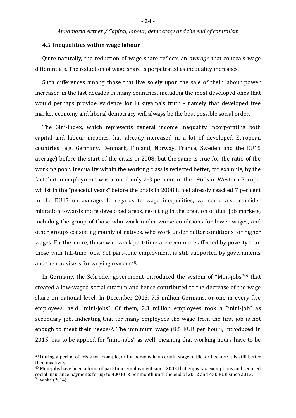#### **4.5 Inequalities within wage labour**

Quite naturally, the reduction of wage share reflects an *average* that conceals wage differentials. The reduction of wage share is perpetrated as inequality increases.

Such differences among those that live solely upon the sale of their labour power increased in the last decades in many countries, including the most developed ones that would perhaps provide evidence for Fukuyama's truth - namely that developed free market economy and liberal democracy will always be the best possible social order.

The Gini-index, which represents general income inequality incorporating both capital and labour incomes, has already increased in a lot of developed European countries (e.g. Germany, Denmark, Finland, Norway, France, Sweden and the EU15 average) before the start of the crisis in 2008, but the same is true for the ratio of the working poor. Inequality within the working class is reflected better, for example, by the fact that unemployment was around only 2-3 per cent in the 1960s in Western Europe, whilst in the "peaceful years" before the crisis in 2008 it had already reached 7 per cent in the EU15 on average. In regards to wage inequalities, we could also consider migration towards more developed areas, resulting in the creation of dual job markets, including the group of those who work under worse conditions for lower wages, and other groups consisting mainly of natives, who work under better conditions for higher wages. Furthermore, those who work part-time are even more affected by poverty than those with full-time jobs. Yet part-time employment is still supported by governments and their advisers for varying reasons<sup>48</sup>.

In Germany, the Schröder government introduced the system of "Mini-jobs"<sup>49</sup> that created a low-waged social stratum and hence contributed to the decrease of the wage share on national level. In December 2013, 7.5 million Germans, or one in every five employees, held "mini-jobs". Of them, 2.3 million employees took a "mini-job" as secondary job, indicating that for many employees the wage from the first job is not enough to meet their needs<sup>50</sup>. The minimum wage (8.5 EUR per hour), introduced in 2015, has to be applied for "mini-jobs" as well, meaning that working hours have to be

<sup>48</sup> During a period of crisis for example, or for persons in a certain stage of life, or because it is still better then inactivity.

<sup>49</sup> Mini-jobs have been a form of part-time employment since 2003 that enjoy tax exemptions and reduced social insurance payments for up to 400 EUR per month until the end of 2012 and 450 EUR since 2013.

<sup>50</sup> White (2014).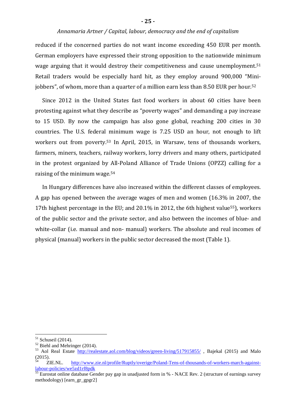reduced if the concerned parties do not want income exceeding 450 EUR per month. German employers have expressed their strong opposition to the nationwide minimum wage arguing that it would destroy their competitiveness and cause unemployment.<sup>51</sup> Retail traders would be especially hard hit, as they employ around 900,000 "Minijobbers", of whom, more than a quarter of a million earn less than 8.50 EUR per hour.<sup>52</sup>

Since 2012 in the United States fast food workers in about 60 cities have been protesting against what they describe as "poverty wages" and demanding a pay increase to 15 USD. By now the campaign has also gone global, reaching 200 cities in 30 countries. The U.S. federal minimum wage is 7.25 USD an hour, not enough to lift workers out from poverty.53 In April, 2015, in Warsaw, tens of thousands workers, farmers, miners, teachers, railway workers, lorry drivers and many others, participated in the protest organized by All-Poland Alliance of Trade Unions (OPZZ) calling for a raising of the minimum wage.<sup>54</sup>

In Hungary differences have also increased within the different classes of employees. A gap has opened between the average wages of men and women (16.3% in 2007, the 17th highest percentage in the EU; and 20.1% in 2012, the 6th highest value<sup>55</sup>), workers of the public sector and the private sector, and also between the incomes of blue- and white-collar (i.e. manual and non- manual) workers. The absolute and real incomes of physical (manual) workers in the public sector decreased the most (Table 1).

 $51$  Schuseil (2014).

<sup>52</sup> Biehl and Mehringer (2014).

<sup>53</sup> Aol Real Estate http://realestate.aol.com/blog/videos/green-living/517915855/ , Bajekal (2015) and Malo (2015).

<sup>54</sup> ZIE.NL. http://www.zie.nl/profile/Ruptly/overige/Poland-Tens-of-thousands-of-workers-march-againstlabour-policies/we5zd1rf8pdk

<sup>&</sup>lt;sup>55</sup> Eurostat online database Gender pay gap in unadjusted form in % - NACE Rev. 2 (structure of earnings survey methodology) [earn\_gr\_gpgr2]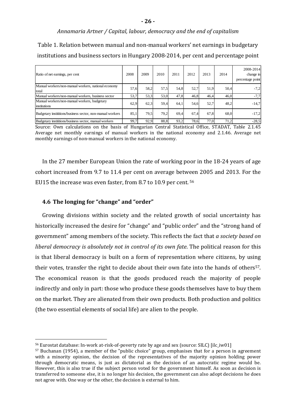Table 1. Relation between manual and non-manual workers' net earnings in budgetary institutions and business sectors in Hungary 2008-2014, per cent and percentage point

| Ratio of net earnings, per cent                              | 2008 | 2009 | 2010 | 2011 | 2012 | 2013 | 2014 | 2008-2014<br>change in<br>percentage point |
|--------------------------------------------------------------|------|------|------|------|------|------|------|--------------------------------------------|
| Manual workers/non-manual workers, national economy<br>total | 57.6 | 58,2 | 57,5 | 54.8 | 52.7 | 51,9 | 50.4 | $-7,2$                                     |
| Manual workers/non-manual workers, business sector           | 53,7 | 53,3 | 53.0 | 47,8 | 46.8 | 46.4 | 46.0 | $-7,7$                                     |
| Manual workers/non-manual workers, budgetary<br>institutions | 62,9 | 62,3 | 59,4 | 64.1 | 54,6 | 52,7 | 48,2 | $-14,7$                                    |
| Budgetary instititions/business sector, non-manual workers   | 85,1 | 79.5 | 79,2 | 69,4 | 67.4 | 67,8 | 68.0 | $-17,2$                                    |
| Budgetary instititions/business sector, manual workers       | 99.7 | 92,9 | 88.8 | 93.2 | 78.6 | 77,0 | 71,2 | $-28,5$                                    |

Source: Own calculations on the basis of Hungarian Central Statistical Office, STADAT, Table 2.1.45 Average net monthly earnings of manual workers in the national economy and 2.1.46. Average net monthly earnings of non-manual workers in the national economy.

In the 27 member European Union the rate of working poor in the 18-24 years of age cohort increased from 9.7 to 11.4 per cent on average between 2005 and 2013. For the EU15 the increase was even faster, from 8.7 to 10.9 per cent. <sup>56</sup>

#### **4.6 The longing for "change" and "order"**

 $\overline{a}$ 

Growing divisions within society and the related growth of social uncertainty has historically increased the desire for "change" and "public order" and the "strong hand of government" among members of the society. This reflects the fact that *a society based on liberal democracy is absolutely not in control of its own fate*. The political reason for this is that liberal democracy is built on a form of representation where citizens, by using their votes, transfer the right to decide about their own fate into the hands of others<sup>57</sup>. The economical reason is that the goods produced reach the majority of people indirectly and only in part: those who produce these goods themselves have to buy them on the market. They are alienated from their own products. Both production and politics (the two essential elements of social life) are alien to the people.

<sup>56</sup> Eurostat database: In-work at-risk-of-poverty rate by age and sex (source: SILC) [ilc\_iw01]

 $57$  Buchanan (1954), a member of the "public choice" group, emphasises that for a person in agreement with a minority opinion, the decision of the representatives of the majority opinion holding power through democratic means, is just as dictatorial as the decision of an autocratic regime would be. However, this is also true if the subject person voted for the government himself. As soon as decision is transferred to someone else, it is no longer his decision, the government can also adopt decisions he does not agree with. One way or the other, the decision is external to him.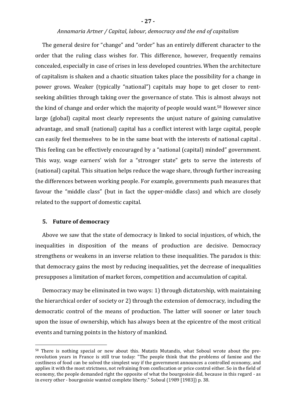The general desire for "change" and "order" has an entirely different character to the order that the ruling class wishes for. This difference, however, frequently remains concealed, especially in case of crises in less developed countries. When the architecture of capitalism is shaken and a chaotic situation takes place the possibility for a change in power grows. Weaker (typically "national") capitals may hope to get closer to rentseeking abilities through taking over the governance of state. This is almost always not the kind of change and order which the majority of people would want.58 However since large (global) capital most clearly represents the unjust nature of gaining cumulative advantage, and small (national) capital has a conflict interest with large capital, people can easily feel themselves to be in the same boat with the interests of national capital . This feeling can be effectively encouraged by a "national (capital) minded" government. This way, wage earners' wish for a "stronger state" gets to serve the interests of (national) capital. This situation helps reduce the wage share, through further increasing the differences between working people. For example, governments push measures that favour the "middle class" (but in fact the upper-middle class) and which are closely related to the support of domestic capital.

#### **5. Future of democracy**

 $\overline{a}$ 

Above we saw that the state of democracy is linked to social injustices, of which, the inequalities in disposition of the means of production are decisive. Democracy strengthens or weakens in an inverse relation to these inequalities. The paradox is this: that democracy gains the most by reducing inequalities, yet the decrease of inequalities presupposes a limitation of market forces, competition and accumulation of capital.

Democracy may be eliminated in two ways: 1) through dictatorship, with maintaining the hierarchical order of society or 2) through the extension of democracy, including the democratic control of the means of production. The latter will sooner or later touch upon the issue of ownership, which has always been at the epicentre of the most critical events and turning points in the history of mankind.

<sup>58</sup> There is nothing special or new about this. Mutatis Mutandis, what Soboul wrote about the prerevolution years in France is still true today: "The people think that the problems of famine and the costliness of food can be solved the simplest way if the government announces a controlled economy, and applies it with the most strictness, not refraining from confiscation or price control either. So in the field of economy, the people demanded right the opposite of what the bourgeoisie did, because in this regard - as in every other - bourgeoisie wanted complete liberty." Soboul (1989 [1983]) p. 38.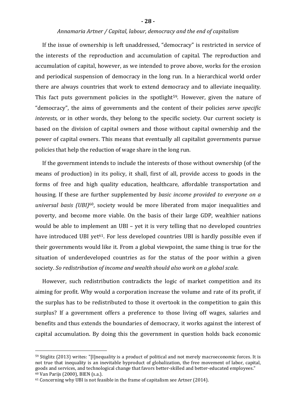If the issue of ownership is left unaddressed, "democracy" is restricted in service of the interests of the reproduction and accumulation of capital. The reproduction and accumulation of capital, however, as we intended to prove above, works for the erosion and periodical suspension of democracy in the long run. In a hierarchical world order there are always countries that work to extend democracy and to alleviate inequality. This fact puts government policies in the spotlight<sup>59</sup>. However, given the nature of "democracy", the aims of governments and the content of their policies *serve specific interests*, or in other words, they belong to the specific society. Our current society is based on the division of capital owners and those without capital ownership and the power of capital owners. This means that eventually all capitalist governments pursue policies that help the reduction of wage share in the long run.

If the government intends to include the interests of those without ownership (of the means of production) in its policy, it shall, first of all, provide access to goods in the forms of free and high quality education, healthcare, affordable transportation and housing. If these are further supplemented by *basic income provided to everyone on a universal basis (UBI)*60, society would be more liberated from major inequalities and poverty, and become more viable. On the basis of their large GDP, wealthier nations would be able to implement an UBI – yet it is very telling that no developed countries have introduced UBI yet<sup>61</sup>. For less developed countries UBI is hardly possible even if their governments would like it. From a global viewpoint, the same thing is true for the situation of underdeveloped countries as for the status of the poor within a given society. *So redistribution of income and wealth should also work on a global scale.*

However, such redistribution contradicts the logic of market competition and its aiming for profit. Why would a corporation increase the volume and rate of its profit, if the surplus has to be redistributed to those it overtook in the competition to gain this surplus? If a government offers a preference to those living off wages, salaries and benefits and thus extends the boundaries of democracy, it works against the interest of capital accumulation. By doing this the government in question holds back economic

<sup>59</sup> Stiglitz (2013) writes: "[I]nequality is a product of political and not merely macroeconomic forces. It is not true that inequality is an inevitable byproduct of globalization, the free movement of labor, capital, goods and services, and technological change that favors better-skilled and better-educated employees." <sup>60</sup> Van Parijs (2000), BIEN (s.a.).

<sup>&</sup>lt;sup>61</sup> Concerning why UBI is not feasible in the frame of capitalism see Artner (2014).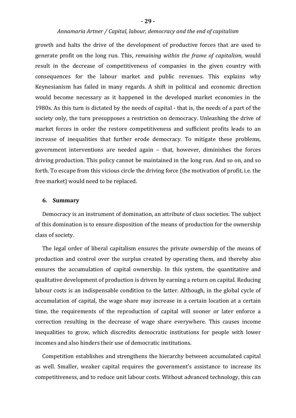growth and halts the drive of the development of productive forces that are used to generate profit on the long run. This, *remaining within the frame of capitalism*, would result in the decrease of competitiveness of companies in the given country with consequences for the labour market and public revenues. This explains why Keynesianism has failed in many regards. A shift in political and economic direction would become necessary as it happened in the developed market economies in the 1980s. As this turn is dictated by the needs of capital - that is, the needs of a part of the society only, the turn presupposes a restriction on democracy. Unleashing the drive of market forces in order the restore competitiveness and sufficient profits leads to an increase of inequalities that further erode democracy. To mitigate these problems, government interventions are needed again – that, however, diminishes the forces driving production. This policy cannot be maintained in the long run. And so on, and so forth. To escape from this vicious circle the driving force (the motivation of profit, i.e. the free market) would need to be replaced.

#### **6. Summary**

Democracy is an instrument of domination, an attribute of class societies. The subject of this domination is to ensure disposition of the means of production for the ownership class of society.

The legal order of liberal capitalism ensures the private ownership of the means of production and control over the surplus created by operating them, and thereby also ensures the accumulation of capital ownership. In this system, the quantitative and qualitative development of production is driven by earning a return on capital. Reducing labour costs is an indispensable condition to the latter. Although, in the global cycle of accumulation of capital, the wage share may increase in a certain location at a certain time, the requirements of the reproduction of capital will sooner or later enforce a correction resulting in the decrease of wage share everywhere. This causes income inequalities to grow, which discredits democratic institutions for people with lower incomes and also hinders their use of democratic institutions.

Competition establishes and strengthens the hierarchy between accumulated capital as well. Smaller, weaker capital requires the government's assistance to increase its competitiveness, and to reduce unit labour costs. Without advanced technology, this can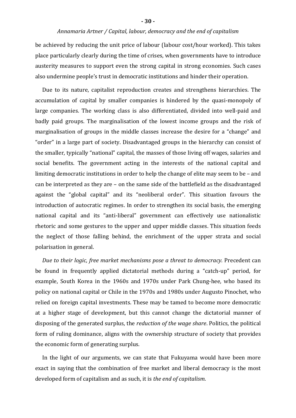be achieved by reducing the unit price of labour (labour cost/hour worked). This takes place particularly clearly during the time of crises, when governments have to introduce austerity measures to support even the strong capital in strong economies. Such cases also undermine people's trust in democratic institutions and hinder their operation.

Due to its nature, capitalist reproduction creates and strengthens hierarchies. The accumulation of capital by smaller companies is hindered by the quasi-monopoly of large companies. The working class is also differentiated, divided into well-paid and badly paid groups. The marginalisation of the lowest income groups and the risk of marginalisation of groups in the middle classes increase the desire for a "change" and "order" in a large part of society. Disadvantaged groups in the hierarchy can consist of the smaller, typically "national" capital, the masses of those living off wages, salaries and social benefits. The government acting in the interests of the national capital and limiting democratic institutions in order to help the change of elite may seem to be – and can be interpreted as they are – on the same side of the battlefield as the disadvantaged against the "global capital" and its "neoliberal order". This situation favours the introduction of autocratic regimes. In order to strengthen its social basis, the emerging national capital and its "anti-liberal" government can effectively use nationalistic rhetoric and some gestures to the upper and upper middle classes. This situation feeds the neglect of those falling behind, the enrichment of the upper strata and social polarisation in general.

*Due to their logic, free market mechanisms pose a threat to democracy.* Precedent can be found in frequently applied dictatorial methods during a "catch-up" period, for example, South Korea in the 1960s and 1970s under Park Chung-hee, who based its policy on national capital or Chile in the 1970s and 1980s under Augusto Pinochet, who relied on foreign capital investments. These may be tamed to become more democratic at a higher stage of development, but this cannot change the dictatorial manner of disposing of the generated surplus, the *reduction of the wage share*. Politics, the political form of ruling dominance, aligns with the ownership structure of society that provides the economic form of generating surplus.

In the light of our arguments, we can state that Fukuyama would have been more exact in saying that the combination of free market and liberal democracy is the most developed form of capitalism and as such, it is *the end of capitalism*.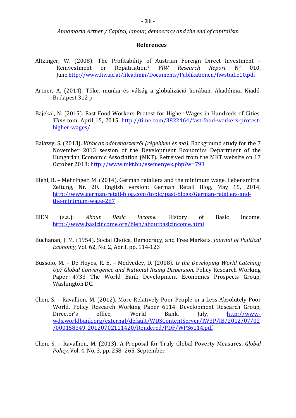#### **References**

- Altzinger, W. (2008): The Profitability of Austrian Foreign Direct Investment Reinvestment or Repatriation? *FIW Research Report* N° 010, June.http://www.fiw.ac.at/fileadmin/Documents/Publikationen/fiwstudie10.pdf
- Artner, A. (2014). Tőke, munka és válság a globalizáció korában. Akadémiai Kiadó, Budapest 312 p.
- Bajekal, N. (2015). Fast Food Workers Protest for Higher Wages in Hundreds of Cities. *Time*.com, April 15, 2015, http://time.com/3822464/fast-food-workers-protesthigher-wages/
- Balázsy, S. (2013). *Viták az adórendszerről (régebben és ma).* Background study for the 7 November 2013 session of the Development Economics Department of the Hungarian Economic Association (MKT). Retreived from the MKT website on 17 October 2013: http://www.mkt.hu/esemenyek.php?w=793
- Biehl, B. Mehringer, M. (2014). German retailers and the minimum wage. Lebensmittel Zeitung, Nr. 20. English version: German Retail Blog, May 15, 2014, http://www.german-retail-blog.com/topic/past-blogs/German-retailers-andthe-minimum-wage-287
- BIEN (s.a.): *About Basic Income.* History of Basic Income. http://www.basicincome.org/bien/aboutbasicincome.html
- Buchanan, J. M. (1954). Social Choice, Democracy, and Free Markets. *Journal of Political Economy,* Vol. 62, No. 2, April, pp. 114-123
- Bussolo, M. De Hoyos, R. E. Medvedev, D. (2008). *Is the Developing World Catching Up? Global Convergence and National Rising Dispersion.* Policy Research Working Paper 4733 The World Bank Development Economics Prospects Group, Washington DC.
- Chen, S. Ravallion, M. (2012). More Relatively-Poor People in a Less Absolutely-Poor World. Policy Research Working Paper 6114. Development Research Group, Director's office, World Bank. July, http://wwwwds.worldbank.org/external/default/WDSContentServer/IW3P/IB/2012/07/02 /000158349\_20120702111420/Rendered/PDF/WPS6114.pdf
- Chen, S. Ravallion, M. (2013). A Proposal for Truly Global Poverty Measures, *Global Policy*, Vol. 4, No. 3, pp. 258–265, September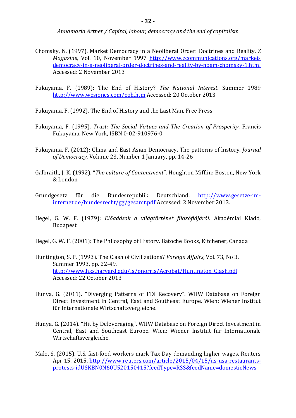- Chomsky, N. (1997). Market Democracy in a Neoliberal Order: Doctrines and Reality. *Z Magazine,* Vol. 10, November 1997 http://www.zcommunications.org/marketdemocracy-in-a-neoliberal-order-doctrines-and-reality-by-noam-chomsky-1.html Accessed: 2 November 2013
- Fukuyama, F. (1989): The End of History? *The National Interest*. Summer 1989 http://www.wesjones.com/eoh.htm Accessed: 20 October 2013
- Fukuyama, F. (1992). The End of History and the Last Man. Free Press
- Fukuyama, F. (1995). *Trust: The Social Virtues and The Creation of Prosperity*. Francis Fukuyama, New York, ISBN 0-02-910976-0
- Fukuyama, F. (2012): China and East Asian Democracy. The patterns of history. *Journal of Democracy*, Volume 23, Number 1 January, pp. 14-26
- Galbraith, J. K. (1992). "*The culture of Contentment*". Houghton Mifflin: Boston, New York & London
- Grundgesetz für die Bundesrepublik Deutschland. http://www.gesetze-iminternet.de/bundesrecht/gg/gesamt.pdf Accessed: 2 November 2013.
- Hegel, G. W. F. (1979): *Előadások a világtörténet filozófiájáról*. Akadémiai Kiadó, Budapest
- Hegel, G. W. F. (2001): The Philosophy of History. Batoche Books, Kitchener, Canada
- Huntington, S. P. (1993). The Clash of Civilizations? *Foreign Affairs*, Vol. 73, No 3, Summer 1993, pp. 22-49. http://www.hks.harvard.edu/fs/pnorris/Acrobat/Huntington\_Clash.pdf Accessed: 22 October 2013
- Hunya, G. (2011). "Diverging Patterns of FDI Recovery". WIIW Database on Foreign Direct Investment in Central, East and Southeast Europe. Wien: Wiener Institut für Internationale Wirtschaftsvergleiche.
- Hunya, G. (2014). "Hit by Deleveraging", WIIW Database on Foreign Direct Investment in Central, East and Southeast Europe. Wien: Wiener Institut für Internationale Wirtschaftsvergleiche.
- Malo, S. (2015). U.S. fast-food workers mark Tax Day demanding higher wages. Reuters Apr 15. 2015, http://www.reuters.com/article/2015/04/15/us-usa-restaurantsprotests-idUSKBN0N60U520150415?feedType=RSS&feedName=domesticNews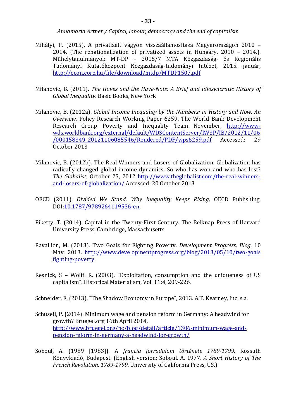- Mihályi, P. (2015). A privatizált vagyon visszaállamosítása Magyarországon 2010 2014. (The renationalization of privatized assets in Hungary, 2010 – 2014.). Műhelytanulmányok MT-DP – 2015/7 MTA Közgazdaság- és Regionális Tudományi Kutatóközpont Közgazdaság-tudományi Intézet, 2015. január, http://econ.core.hu/file/download/mtdp/MTDP1507.pdf
- Milanovic, B. (2011). *The Haves and the Have-Nots: A Brief and Idiosyncratic History of Global Inequality.* Basic Books, New York
- Milanovic, B. (2012a). *Global Income Inequality by the Numbers: in History and Now. An Overview.* Policy Research Working Paper 6259. The World Bank Development Research Group Poverty and Inequality Team November, http://wwwwds.worldbank.org/external/default/WDSContentServer/IW3P/IB/2012/11/06 /000158349\_20121106085546/Rendered/PDF/wps6259.pdf Accessed: 29 October 2013
- Milanovic, B. (2012b). The Real Winners and Losers of Globalization. Globalization has radically changed global income dynamics. So who has won and who has lost? *The Globalist*, October 25, 2012 http://www.theglobalist.com/the-real-winnersand-losers-of-globalization/ Accessed: 20 October 2013
- OECD (2011). *Divided We Stand. Why Inequality Keeps Rising,* OECD Publishing. DOI:10.1787/9789264119536-en
- Piketty, T. (2014). Capital in the Twenty-First Century. The Belknap Press of Harvard University Press, Cambridge, Massachusetts
- Ravallion, M. (2013). Two Goals for Fighting Poverty. *Development Progress, Blog*, 10 May, 2013. http://www.developmentprogress.org/blog/2013/05/10/two-goals fighting-poverty
- Resnick, S Wolff. R. (2003). "Exploitation, consumption and the uniqueness of US capitalism". Historical Materialism, Vol. 11:4, 209-226.

Schneider, F. (2013). "The Shadow Economy in Europe", 2013. A.T. Kearney, Inc. s.a.

- Schuseil, P. (2014). Minimum wage and pension reform in Germany: A headwind for growth? Bruegel.org 16th April 2014, http://www.bruegel.org/nc/blog/detail/article/1306-minimum-wage-andpension-reform-in-germany-a-headwind-for-growth/
- Soboul, A. (1989 [1983]). A *francia forradalom története 1789-1799*. Kossuth Könyvkiadó, Budapest. (English version: Soboul, A. 1977. *A Short History of The French Revolution, 1789-1799*. University of California Press, US.)